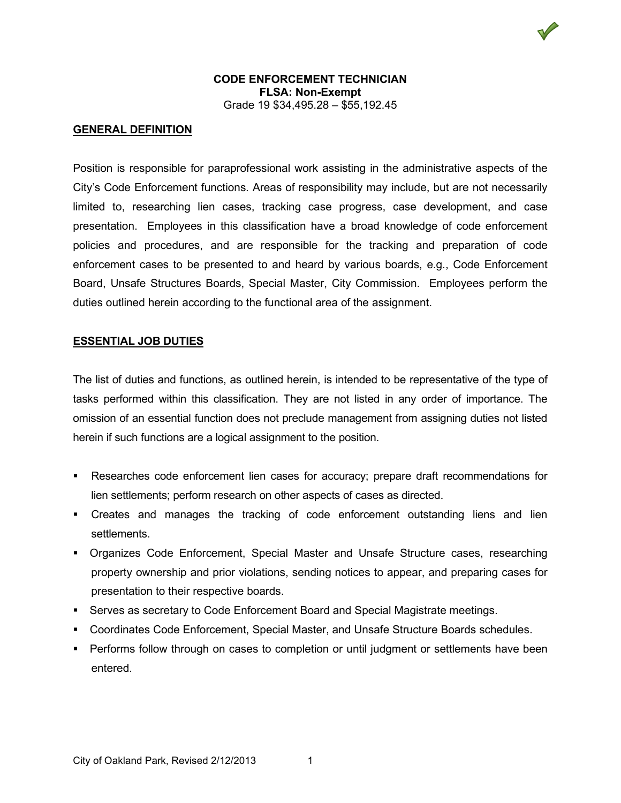## **CODE ENFORCEMENT TECHNICIAN FLSA: Non-Exempt** Grade 19 \$34,495.28 – \$55,192.45

# **GENERAL DEFINITION**

Position is responsible for paraprofessional work assisting in the administrative aspects of the City's Code Enforcement functions. Areas of responsibility may include, but are not necessarily limited to, researching lien cases, tracking case progress, case development, and case presentation. Employees in this classification have a broad knowledge of code enforcement policies and procedures, and are responsible for the tracking and preparation of code enforcement cases to be presented to and heard by various boards, e.g., Code Enforcement Board, Unsafe Structures Boards, Special Master, City Commission. Employees perform the duties outlined herein according to the functional area of the assignment.

## **ESSENTIAL JOB DUTIES**

The list of duties and functions, as outlined herein, is intended to be representative of the type of tasks performed within this classification. They are not listed in any order of importance. The omission of an essential function does not preclude management from assigning duties not listed herein if such functions are a logical assignment to the position.

- Researches code enforcement lien cases for accuracy; prepare draft recommendations for lien settlements; perform research on other aspects of cases as directed.
- Creates and manages the tracking of code enforcement outstanding liens and lien settlements.
- Organizes Code Enforcement, Special Master and Unsafe Structure cases, researching property ownership and prior violations, sending notices to appear, and preparing cases for presentation to their respective boards.
- Serves as secretary to Code Enforcement Board and Special Magistrate meetings.
- Coordinates Code Enforcement, Special Master, and Unsafe Structure Boards schedules.
- Performs follow through on cases to completion or until judgment or settlements have been entered.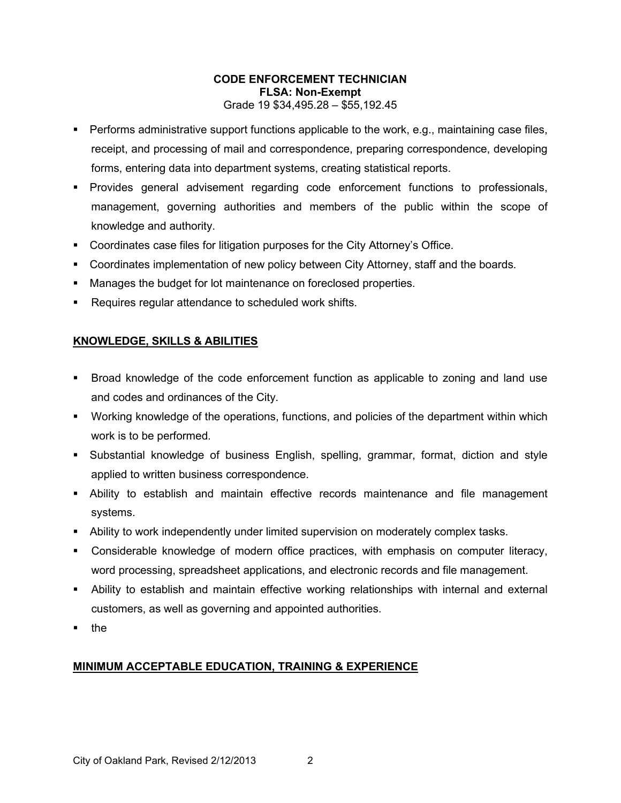## **CODE ENFORCEMENT TECHNICIAN FLSA: Non-Exempt** Grade 19 \$34,495.28 – \$55,192.45

- **Performs administrative support functions applicable to the work, e.g., maintaining case files,** receipt, and processing of mail and correspondence, preparing correspondence, developing forms, entering data into department systems, creating statistical reports.
- Provides general advisement regarding code enforcement functions to professionals, management, governing authorities and members of the public within the scope of knowledge and authority.
- Coordinates case files for litigation purposes for the City Attorney's Office.
- Coordinates implementation of new policy between City Attorney, staff and the boards.
- Manages the budget for lot maintenance on foreclosed properties.
- Requires regular attendance to scheduled work shifts.

# **KNOWLEDGE, SKILLS & ABILITIES**

- Broad knowledge of the code enforcement function as applicable to zoning and land use and codes and ordinances of the City.
- Working knowledge of the operations, functions, and policies of the department within which work is to be performed.
- Substantial knowledge of business English, spelling, grammar, format, diction and style applied to written business correspondence.
- Ability to establish and maintain effective records maintenance and file management systems.
- Ability to work independently under limited supervision on moderately complex tasks.
- Considerable knowledge of modern office practices, with emphasis on computer literacy, word processing, spreadsheet applications, and electronic records and file management.
- Ability to establish and maintain effective working relationships with internal and external customers, as well as governing and appointed authorities.
- $\blacksquare$  the

# **MINIMUM ACCEPTABLE EDUCATION, TRAINING & EXPERIENCE**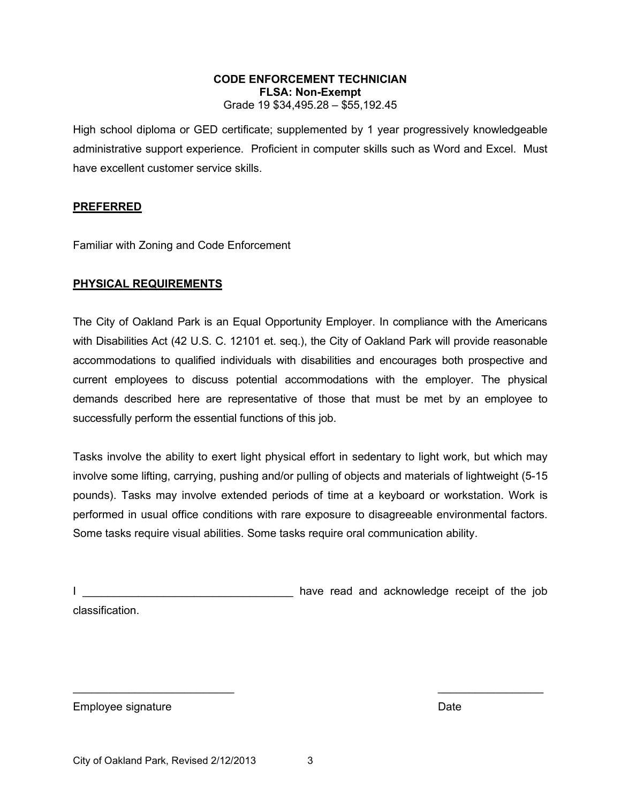#### **CODE ENFORCEMENT TECHNICIAN FLSA: Non-Exempt** Grade 19 \$34,495.28 – \$55,192.45

High school diploma or GED certificate; supplemented by 1 year progressively knowledgeable administrative support experience. Proficient in computer skills such as Word and Excel. Must have excellent customer service skills.

#### **PREFERRED**

Familiar with Zoning and Code Enforcement

## **PHYSICAL REQUIREMENTS**

The City of Oakland Park is an Equal Opportunity Employer. In compliance with the Americans with Disabilities Act (42 U.S. C. 12101 et. seq.), the City of Oakland Park will provide reasonable accommodations to qualified individuals with disabilities and encourages both prospective and current employees to discuss potential accommodations with the employer. The physical demands described here are representative of those that must be met by an employee to successfully perform the essential functions of this job.

Tasks involve the ability to exert light physical effort in sedentary to light work, but which may involve some lifting, carrying, pushing and/or pulling of objects and materials of lightweight (5-15 pounds). Tasks may involve extended periods of time at a keyboard or workstation. Work is performed in usual office conditions with rare exposure to disagreeable environmental factors. Some tasks require visual abilities. Some tasks require oral communication ability.

|                |  | have read and acknowledge receipt of the job |  |  |
|----------------|--|----------------------------------------------|--|--|
| classification |  |                                              |  |  |

Employee signature **Date** Date of the Date of the Date of the Date of the Date of the Date of the Date of the Date of the Date of the Date of the Date of the Date of the Date of the Date of the Date of the Date of the Date

 $\overline{\phantom{a}}$  , and the contract of the contract of the contract of the contract of the contract of the contract of the contract of the contract of the contract of the contract of the contract of the contract of the contrac